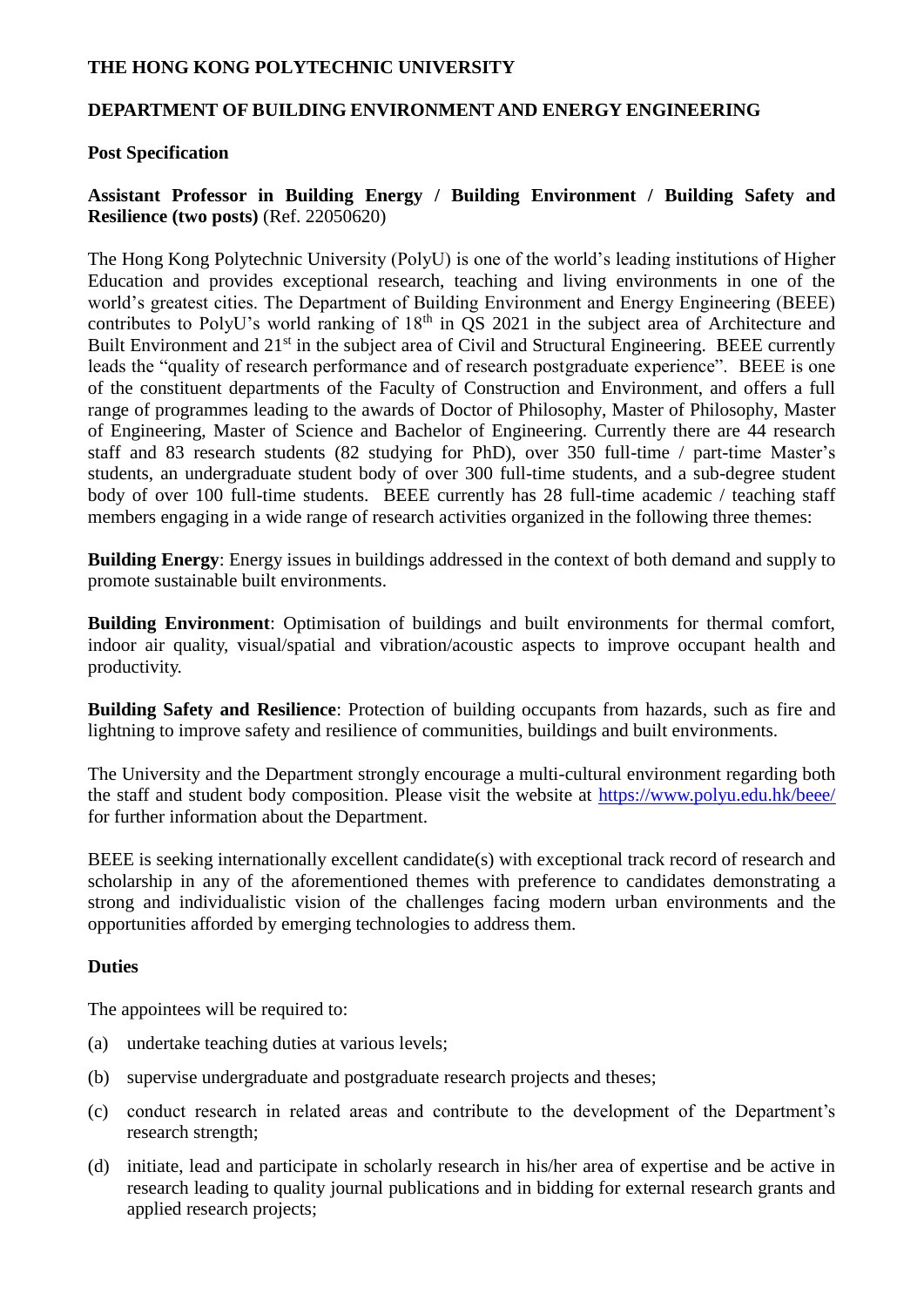## **THE HONG KONG POLYTECHNIC UNIVERSITY**

#### **DEPARTMENT OF BUILDING ENVIRONMENT AND ENERGY ENGINEERING**

### **Post Specification**

## **Assistant Professor in Building Energy / Building Environment / Building Safety and Resilience (two posts)** (Ref. 22050620)

The Hong Kong Polytechnic University (PolyU) is one of the world's leading institutions of Higher Education and provides exceptional research, teaching and living environments in one of the world's greatest cities. The Department of Building Environment and Energy Engineering (BEEE) contributes to PolyU's world ranking of  $18<sup>th</sup>$  in QS 2021 in the subject area of Architecture and Built Environment and 21<sup>st</sup> in the subject area of Civil and Structural Engineering. BEEE currently leads the "quality of research performance and of research postgraduate experience". BEEE is one of the constituent departments of the Faculty of Construction and Environment, and offers a full range of programmes leading to the awards of Doctor of Philosophy, Master of Philosophy, Master of Engineering, Master of Science and Bachelor of Engineering. Currently there are 44 research staff and 83 research students (82 studying for PhD), over 350 full-time / part-time Master's students, an undergraduate student body of over 300 full-time students, and a sub-degree student body of over 100 full-time students. BEEE currently has 28 full-time academic / teaching staff members engaging in a wide range of research activities organized in the following three themes:

**Building Energy**: Energy issues in buildings addressed in the context of both demand and supply to promote sustainable built environments.

**Building Environment**: Optimisation of buildings and built environments for thermal comfort, indoor air quality, visual/spatial and vibration/acoustic aspects to improve occupant health and productivity.

**Building Safety and Resilience**: Protection of building occupants from hazards, such as fire and lightning to improve safety and resilience of communities, buildings and built environments.

The University and the Department strongly encourage a multi-cultural environment regarding both the staff and student body composition. Please visit the website at<https://www.polyu.edu.hk/beee/> for further information about the Department.

BEEE is seeking internationally excellent candidate(s) with exceptional track record of research and scholarship in any of the aforementioned themes with preference to candidates demonstrating a strong and individualistic vision of the challenges facing modern urban environments and the opportunities afforded by emerging technologies to address them.

# **Duties**

The appointees will be required to:

- (a) undertake teaching duties at various levels;
- (b) supervise undergraduate and postgraduate research projects and theses;
- (c) conduct research in related areas and contribute to the development of the Department's research strength;
- (d) initiate, lead and participate in scholarly research in his/her area of expertise and be active in research leading to quality journal publications and in bidding for external research grants and applied research projects;